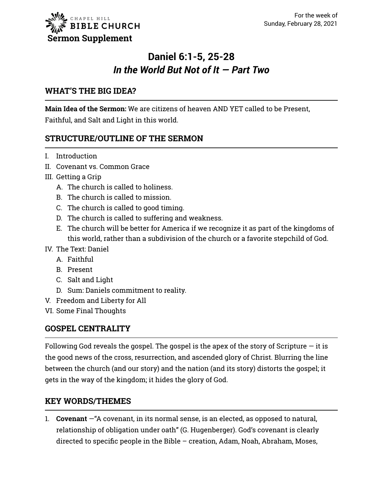# **Daniel 6:1-5, 25-28** *In the World But Not of It — Part Two*

#### **WHAT'S THE BIG IDEA?**

**Main Idea of the Sermon:** We are citizens of heaven AND YET called to be Present, Faithful, and Salt and Light in this world.

### **STRUCTURE/OUTLINE OF THE SERMON**

- I. Introduction
- II. Covenant vs. Common Grace
- III. Getting a Grip
	- A. The church is called to holiness.
	- B. The church is called to mission.
	- C. The church is called to good timing.
	- D. The church is called to suffering and weakness.
	- E. The church will be better for America if we recognize it as part of the kingdoms of this world, rather than a subdivision of the church or a favorite stepchild of God.
- IV. The Text: Daniel
	- A. Faithful
	- B. Present
	- C. Salt and Light
	- D. Sum: Daniels commitment to reality.
- V. Freedom and Liberty for All
- VI. Some Final Thoughts

#### **GOSPEL CENTRALITY**

Following God reveals the gospel. The gospel is the apex of the story of Scripture  $-$  it is the good news of the cross, resurrection, and ascended glory of Christ. Blurring the line between the church (and our story) and the nation (and its story) distorts the gospel; it gets in the way of the kingdom; it hides the glory of God.

#### **KEY WORDS/THEMES**

1. **Covenant** —"A covenant, in its normal sense, is an elected, as opposed to natural, relationship of obligation under oath" (G. Hugenberger). God's covenant is clearly directed to specific people in the Bible – creation, Adam, Noah, Abraham, Moses,